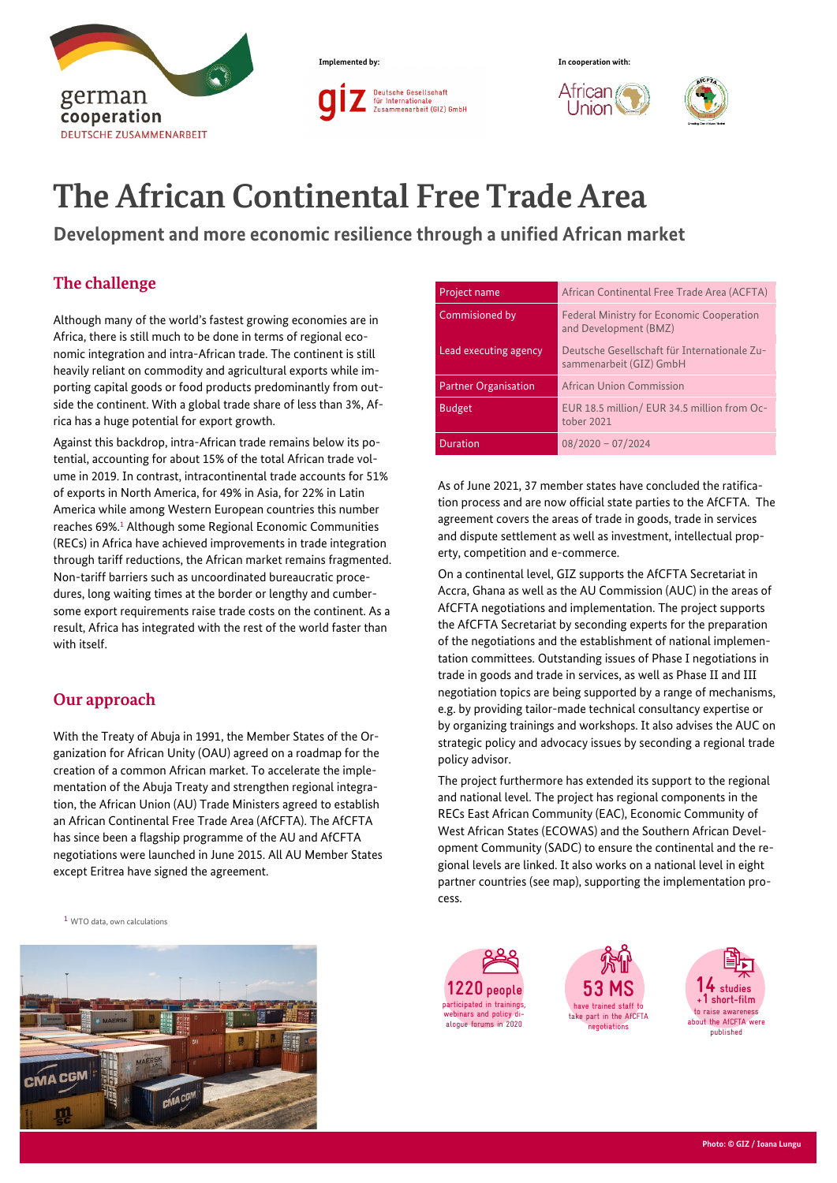



Union



# **The African Continental Free Trade Area**

**Development and more economic resilience through a unified African market**

## **The challenge**

Although many of the world's fastest growing economies are in Africa, there is still much to be done in terms of regional economic integration and intra-African trade. The continent is still heavily reliant on commodity and agricultural exports while importing capital goods or food products predominantly from outside the continent. With a global trade share of less than 3%, Africa has a huge potential for export growth.

Against this backdrop, intra-African trade remains below its potential, accounting for about 15% of the total African trade volume in 2019. In contrast, intracontinental trade accounts for 51% of exports in North America, for 49% in Asia, for 22% in Latin America while among Western European countries this number reaches 69%.1 Although some Regional Economic Communities (RECs) in Africa have achieved improvements in trade integration through tariff reductions, the African market remains fragmented. Non-tariff barriers such as uncoordinated bureaucratic procedures, long waiting times at the border or lengthy and cumbersome export requirements raise trade costs on the continent. As a result, Africa has integrated with the rest of the world faster than with itself.

## **Our approach**

With the Treaty of Abuja in 1991, the Member States of the Organization for African Unity (OAU) agreed on a roadmap for the creation of a common African market. To accelerate the implementation of the Abuja Treaty and strengthen regional integration, the African Union (AU) Trade Ministers agreed to establish an African Continental Free Trade Area (AfCFTA). The AfCFTA has since been a flagship programme of the AU and AfCFTA negotiations were launched in June 2015. All AU Member States except Eritrea have signed the agreement.

<sup>1</sup> WTO data, own calculations



| Project name                | African Continental Free Trade Area (ACFTA)                               |
|-----------------------------|---------------------------------------------------------------------------|
| Commisioned by              | <b>Federal Ministry for Economic Cooperation</b><br>and Development (BMZ) |
| Lead executing agency       | Deutsche Gesellschaft für Internationale Zu-<br>sammenarbeit (GIZ) GmbH   |
| <b>Partner Organisation</b> | African Union Commission                                                  |
| <b>Budget</b>               | EUR 18.5 million/ EUR 34.5 million from Oc-<br>tober 2021                 |
| <b>Duration</b>             | $08/2020 - 07/2024$                                                       |

As of June 2021, 37 member states have concluded the ratification process and are now official state parties to the AfCFTA. The agreement covers the areas of trade in goods, trade in services and dispute settlement as well as investment, intellectual property, competition and e-commerce.

On a continental level, GIZ supports the AfCFTA Secretariat in Accra, Ghana as well as the AU Commission (AUC) in the areas of AfCFTA negotiations and implementation. The project supports the AfCFTA Secretariat by seconding experts for the preparation of the negotiations and the establishment of national implementation committees. Outstanding issues of Phase I negotiations in trade in goods and trade in services, as well as Phase II and III negotiation topics are being supported by a range of mechanisms, e.g. by providing tailor-made technical consultancy expertise or by organizing trainings and workshops. It also advises the AUC on strategic policy and advocacy issues by seconding a regional trade policy advisor.

The project furthermore has extended its support to the regional and national level. The project has regional components in the RECs East African Community (EAC), Economic Community of West African States (ECOWAS) and the Southern African Development Community (SADC) to ensure the continental and the regional levels are linked. It also works on a national level in eight partner countries (see map), supporting the implementation process.